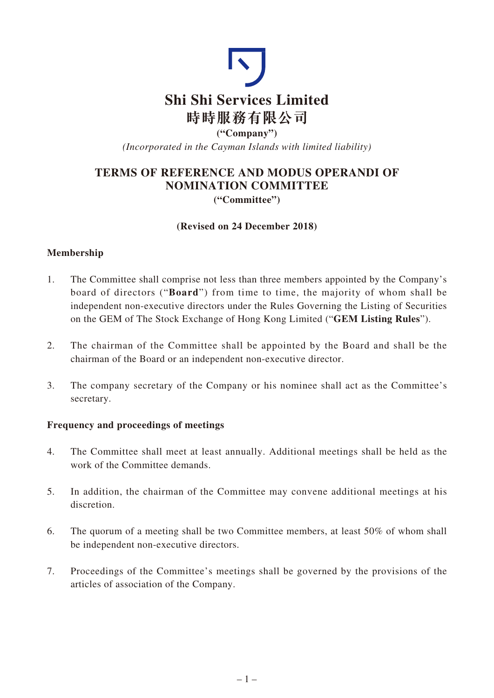

**("Company")** *(Incorporated in the Cayman Islands with limited liability)*

# **TERMS OF REFERENCE AND MODUS OPERANDI OF NOMINATION COMMITTEE ("Committee")**

### **(Revised on 24 December 2018)**

# **Membership**

- 1. The Committee shall comprise not less than three members appointed by the Company's board of directors ("**Board**") from time to time, the majority of whom shall be independent non-executive directors under the Rules Governing the Listing of Securities on the GEM of The Stock Exchange of Hong Kong Limited ("**GEM Listing Rules**").
- 2. The chairman of the Committee shall be appointed by the Board and shall be the chairman of the Board or an independent non-executive director.
- 3. The company secretary of the Company or his nominee shall act as the Committee's secretary.

### **Frequency and proceedings of meetings**

- 4. The Committee shall meet at least annually. Additional meetings shall be held as the work of the Committee demands.
- 5. In addition, the chairman of the Committee may convene additional meetings at his discretion.
- 6. The quorum of a meeting shall be two Committee members, at least 50% of whom shall be independent non-executive directors.
- 7. Proceedings of the Committee's meetings shall be governed by the provisions of the articles of association of the Company.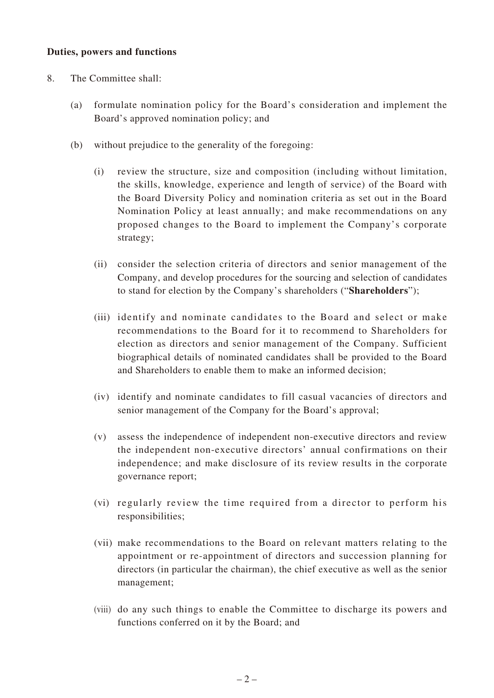#### **Duties, powers and functions**

- 8. The Committee shall:
	- (a) formulate nomination policy for the Board's consideration and implement the Board's approved nomination policy; and
	- (b) without prejudice to the generality of the foregoing:
		- (i) review the structure, size and composition (including without limitation, the skills, knowledge, experience and length of service) of the Board with the Board Diversity Policy and nomination criteria as set out in the Board Nomination Policy at least annually; and make recommendations on any proposed changes to the Board to implement the Company's corporate strategy;
		- (ii) consider the selection criteria of directors and senior management of the Company, and develop procedures for the sourcing and selection of candidates to stand for election by the Company's shareholders ("**Shareholders**");
		- (iii) identify and nominate candidates to the Board and select or make recommendations to the Board for it to recommend to Shareholders for election as directors and senior management of the Company. Sufficient biographical details of nominated candidates shall be provided to the Board and Shareholders to enable them to make an informed decision;
		- (iv) identify and nominate candidates to fill casual vacancies of directors and senior management of the Company for the Board's approval;
		- (v) assess the independence of independent non-executive directors and review the independent non-executive directors' annual confirmations on their independence; and make disclosure of its review results in the corporate governance report;
		- (vi) regularly review the time required from a director to perform his responsibilities;
		- (vii) make recommendations to the Board on relevant matters relating to the appointment or re-appointment of directors and succession planning for directors (in particular the chairman), the chief executive as well as the senior management;
		- (viii) do any such things to enable the Committee to discharge its powers and functions conferred on it by the Board; and